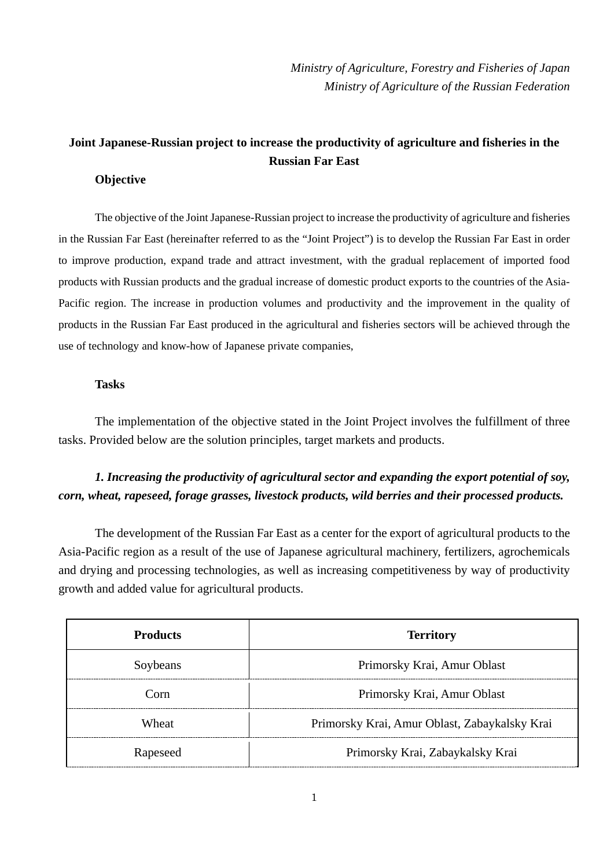*Ministry of Agriculture, Forestry and Fisheries of Japan Ministry of Agriculture of the Russian Federation* 

# **Joint Japanese-Russian project to increase the productivity of agriculture and fisheries in the Russian Far East**

### **Objective**

The objective of the Joint Japanese-Russian project to increase the productivity of agriculture and fisheries in the Russian Far East (hereinafter referred to as the "Joint Project") is to develop the Russian Far East in order to improve production, expand trade and attract investment, with the gradual replacement of imported food products with Russian products and the gradual increase of domestic product exports to the countries of the Asia-Pacific region. The increase in production volumes and productivity and the improvement in the quality of products in the Russian Far East produced in the agricultural and fisheries sectors will be achieved through the use of technology and know-how of Japanese private companies,

#### **Tasks**

The implementation of the objective stated in the Joint Project involves the fulfillment of three tasks. Provided below are the solution principles, target markets and products.

## *1. Increasing the productivity of agricultural sector and expanding the export potential of soy, corn, wheat, rapeseed, forage grasses, livestock products, wild berries and their processed products.*

The development of the Russian Far East as a center for the export of agricultural products to the Asia-Pacific region as a result of the use of Japanese agricultural machinery, fertilizers, agrochemicals and drying and processing technologies, as well as increasing competitiveness by way of productivity growth and added value for agricultural products.

| <b>Products</b> | <b>Territory</b>                              |
|-----------------|-----------------------------------------------|
| Soybeans        | Primorsky Krai, Amur Oblast                   |
| Corn            | Primorsky Krai, Amur Oblast                   |
| Wheat           | Primorsky Krai, Amur Oblast, Zabaykalsky Krai |
| Rapeseed        | Primorsky Krai, Zabaykalsky Krai              |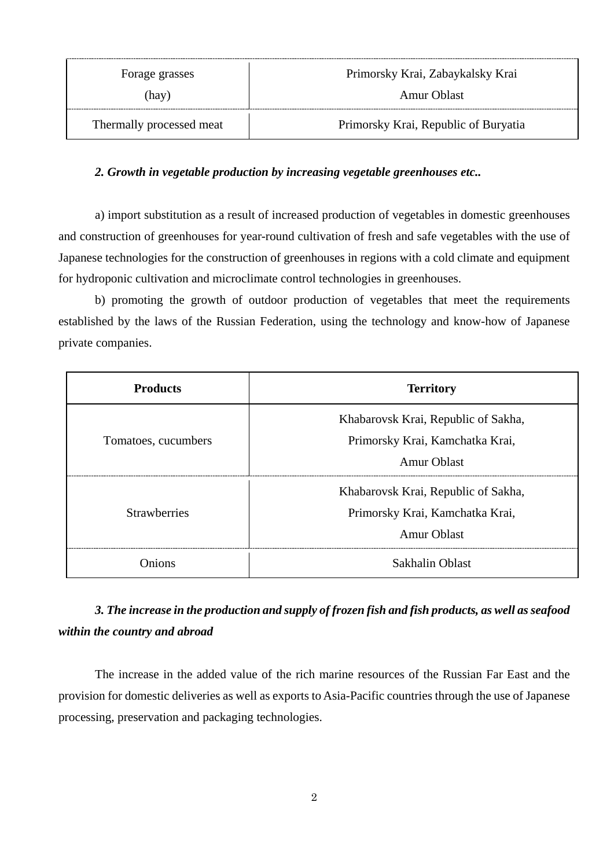| Forage grasses           | Primorsky Krai, Zabaykalsky Krai     |
|--------------------------|--------------------------------------|
| (hay)                    | Amur Oblast                          |
| Thermally processed meat | Primorsky Krai, Republic of Buryatia |

### *2. Growth in vegetable production by increasing vegetable greenhouses etc..*

a) import substitution as a result of increased production of vegetables in domestic greenhouses and construction of greenhouses for year-round cultivation of fresh and safe vegetables with the use of Japanese technologies for the construction of greenhouses in regions with a cold climate and equipment for hydroponic cultivation and microclimate control technologies in greenhouses.

b) promoting the growth of outdoor production of vegetables that meet the requirements established by the laws of the Russian Federation, using the technology and know-how of Japanese private companies.

| <b>Products</b>     | <b>Territory</b>                                                                             |
|---------------------|----------------------------------------------------------------------------------------------|
| Tomatoes, cucumbers | Khabarovsk Krai, Republic of Sakha,<br>Primorsky Krai, Kamchatka Krai,<br><b>Amur Oblast</b> |
| <b>Strawberries</b> | Khabarovsk Krai, Republic of Sakha,<br>Primorsky Krai, Kamchatka Krai,<br><b>Amur Oblast</b> |
| Onions              | Sakhalin Oblast                                                                              |

# *3. The increase in the production and supply of frozen fish and fish products, as well as seafood within the country and abroad*

The increase in the added value of the rich marine resources of the Russian Far East and the provision for domestic deliveries as well as exports to Asia-Pacific countries through the use of Japanese processing, preservation and packaging technologies.